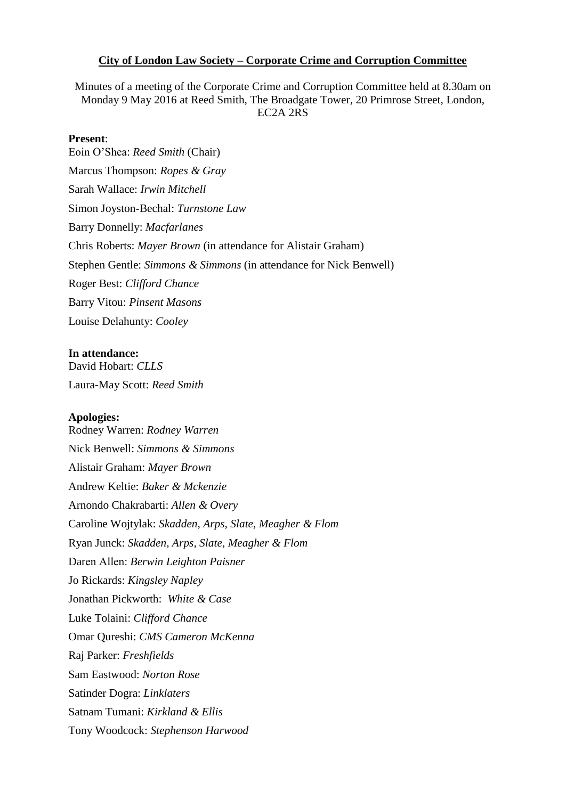#### **City of London Law Society – Corporate Crime and Corruption Committee**

Minutes of a meeting of the Corporate Crime and Corruption Committee held at 8.30am on Monday 9 May 2016 at Reed Smith, The Broadgate Tower, 20 Primrose Street, London, EC2A 2RS

#### **Present**:

Eoin O'Shea: *Reed Smith* (Chair) Marcus Thompson: *Ropes & Gray* Sarah Wallace: *Irwin Mitchell* Simon Joyston-Bechal: *Turnstone Law*  Barry Donnelly: *Macfarlanes* Chris Roberts: *Mayer Brown* (in attendance for Alistair Graham) Stephen Gentle: *Simmons & Simmons* (in attendance for Nick Benwell) Roger Best: *Clifford Chance* Barry Vitou: *Pinsent Masons* Louise Delahunty: *Cooley*

#### **In attendance:**

David Hobart: *CLLS* Laura-May Scott: *Reed Smith*

#### **Apologies:**

Rodney Warren: *Rodney Warren* Nick Benwell: *Simmons & Simmons* Alistair Graham: *Mayer Brown* Andrew Keltie: *Baker & Mckenzie* Arnondo Chakrabarti: *Allen & Overy* Caroline Wojtylak: *Skadden, Arps, Slate, Meagher & Flom* Ryan Junck: *Skadden, Arps, Slate, Meagher & Flom* Daren Allen: *Berwin Leighton Paisner* Jo Rickards: *Kingsley Napley* Jonathan Pickworth: *White & Case* Luke Tolaini: *Clifford Chance* Omar Qureshi: *CMS Cameron McKenna* Raj Parker: *Freshfields* Sam Eastwood: *Norton Rose* Satinder Dogra: *Linklaters* Satnam Tumani: *Kirkland & Ellis* Tony Woodcock: *Stephenson Harwood*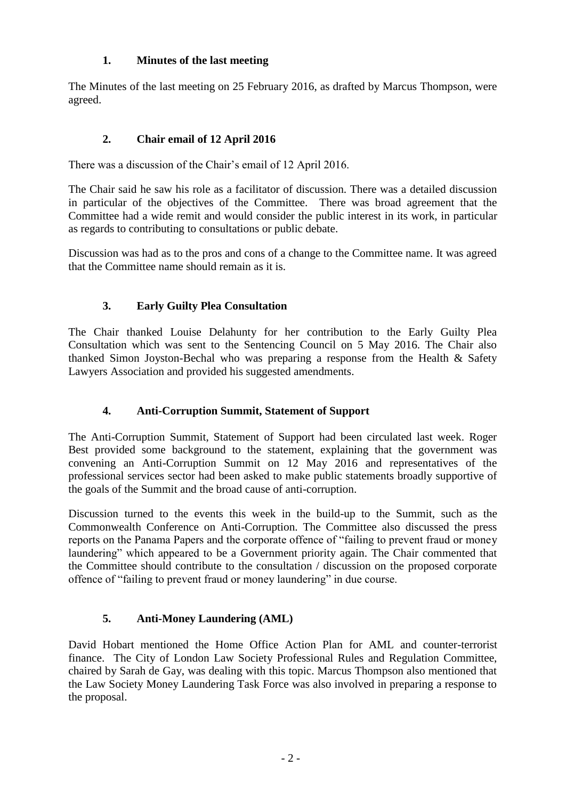## **1. Minutes of the last meeting**

The Minutes of the last meeting on 25 February 2016, as drafted by Marcus Thompson, were agreed.

# **2. Chair email of 12 April 2016**

There was a discussion of the Chair's email of 12 April 2016.

The Chair said he saw his role as a facilitator of discussion. There was a detailed discussion in particular of the objectives of the Committee. There was broad agreement that the Committee had a wide remit and would consider the public interest in its work, in particular as regards to contributing to consultations or public debate.

Discussion was had as to the pros and cons of a change to the Committee name. It was agreed that the Committee name should remain as it is.

# **3. Early Guilty Plea Consultation**

The Chair thanked Louise Delahunty for her contribution to the Early Guilty Plea Consultation which was sent to the Sentencing Council on 5 May 2016. The Chair also thanked Simon Joyston-Bechal who was preparing a response from the Health  $\&$  Safety Lawyers Association and provided his suggested amendments.

## **4. Anti-Corruption Summit, Statement of Support**

The Anti-Corruption Summit, Statement of Support had been circulated last week. Roger Best provided some background to the statement, explaining that the government was convening an Anti-Corruption Summit on 12 May 2016 and representatives of the professional services sector had been asked to make public statements broadly supportive of the goals of the Summit and the broad cause of anti-corruption.

Discussion turned to the events this week in the build-up to the Summit, such as the Commonwealth Conference on Anti-Corruption. The Committee also discussed the press reports on the Panama Papers and the corporate offence of "failing to prevent fraud or money laundering" which appeared to be a Government priority again. The Chair commented that the Committee should contribute to the consultation / discussion on the proposed corporate offence of "failing to prevent fraud or money laundering" in due course.

## **5. Anti-Money Laundering (AML)**

David Hobart mentioned the Home Office Action Plan for AML and counter-terrorist finance. The City of London Law Society Professional Rules and Regulation Committee, chaired by Sarah de Gay, was dealing with this topic. Marcus Thompson also mentioned that the Law Society Money Laundering Task Force was also involved in preparing a response to the proposal.